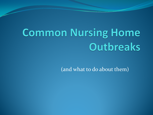# **Common Nursing Home** Outbreaks

(and what to do about them)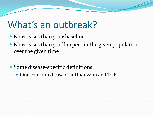#### What's an outbreak?

- More cases than your baseline
- More cases than you'd expect in the given population over the given time
- Some disease-specific definitions:
	- One confirmed case of influenza in an LTCF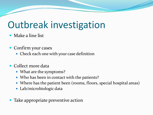## Outbreak investigation

- Make a line list
- Confirm your cases
	- Check each one with your case definition
- Collect more data
	- What are the symptoms?
	- Who has been in contact with the patients?
	- Where has the patient been (rooms, floors, special hospital areas)
	- Lab/microbiologic data

• Take appropriate preventive action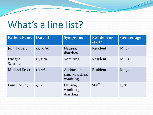### What's a line list?

| <b>Patient Name</b>  | Date ill | <b>Symptoms</b>                          | <b>Resident or</b><br>staff? | Gender, age |
|----------------------|----------|------------------------------------------|------------------------------|-------------|
| Jim Halpert          | 12/30/16 | Nausea,<br>diarrhea                      | Resident                     | M, 83       |
| Dwight<br>Schrute    | 12/31/16 | Vomiting                                 | Resident                     | M, 85       |
| <b>Michael Scott</b> | 1/2/16   | Abdominal<br>pain, diarrhea,<br>vomiting | Resident                     | M, 90       |
| Pam Beesley          | 1/4/16   | Nausea,<br>vomiting,<br>diarrhea         | <b>Staff</b>                 | F, 82       |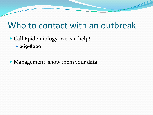#### Who to contact with an outbreak

- Call Epidemiology- we can help!
	- **269-8000**
- Management: show them your data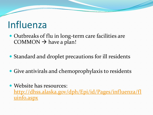#### Influenza

- Outbreaks of flu in long-term care facilities are  $COMMON \rightarrow have a plan!$
- Standard and droplet precautions for ill residents
- Give antivirals and chemoprophylaxis to residents
- Website has resources: [http://dhss.alaska.gov/dph/Epi/id/Pages/influenza/fl](http://dhss.alaska.gov/dph/Epi/id/Pages/influenza/fluinfo.aspx) [uinfo.aspx](http://dhss.alaska.gov/dph/Epi/id/Pages/influenza/fluinfo.aspx)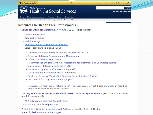

#### **Resources for Health Care Professionals**

> Seasonal Influenza Information from the CDC. Topics include:

- > Clinical Information
- > Diagnostic Testing
- > Antiviral Drugs
- > Infection Control in Health Care Facilities
- > Long-Term Care Facilities (LTCF)
	- > Guidance on Management of Influenza Outbreaks in LTCF
	- > Influenza Outbreak Preparation and Management
	- > Influenza Outbreak Report Form
	- > Recommended Influenza Antiviral Medications for Treatment and Chemoprophylaxis
	- > Quick Guide: Influenza Outbreak in LTCF
	- > Flu Season Sign for Staff Areas unbranded
	- > Flu Season Sign for Visitor Areas unbranded
	- > Employee Influenza Vaccination Tracking Form (Sample, MS Word)
	- > CDC Toolkit for Long-Term Care Employers
	- > Resources on norovirus or "stomach flu" another cause of viral illness outbreaks in facilities and is sometimes confused for influenza
- > Testing available at Alaska State Public Health Laboratory Fairbanks (Respiratory Virus Panel test info on page 45)
	- > ASPHL-Fairbanks Lab Test Request Form
	- > ASPHL Lab Supply Request Form
- > Epidemiology Bulletins associated with Influenza from the State of Alaska
- > State of Alaska Immunization Program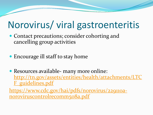## Norovirus/ viral gastroenteritis

- Contact precautions; consider cohorting and cancelling group activities
- Encourage ill staff to stay home
- Resources available- many more online: [http://tn.gov/assets/entities/health/attachments/LTC](http://tn.gov/assets/entities/health/attachments/LTCF_guidelines.pdf) [F\\_guidelines.pdf](http://tn.gov/assets/entities/health/attachments/LTCF_guidelines.pdf)

[https://www.cdc.gov/hai/pdfs/norovirus/229110a](https://www.cdc.gov/hai/pdfs/norovirus/229110a-noroviruscontrolrecomm508a.pdf)[noroviruscontrolrecomm508a.pdf](https://www.cdc.gov/hai/pdfs/norovirus/229110a-noroviruscontrolrecomm508a.pdf)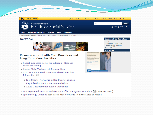

#### **Resources for Health Care Providers and Long-Term Care Facilities**

- > Report suspected norovirus outbreak / Request norovirus testing
- > Alaska State Virology Lab Request Form
- > CDC: Norovirus Healthcare Associated Infection Information  $\mathbb B$ 
	- > Fact Sheet: Norovirus in Healthcare Facilities
	- > Key Infection Control Recommendations
	- > Acute Gastroenteritis Report Worksheet
- > EPA Registered Hospital Disinfectants Effective Against Norovirus [4] (June 16, 2016)
- > Epidemiology Bulletins associated with Norovirus from the State of Alaska